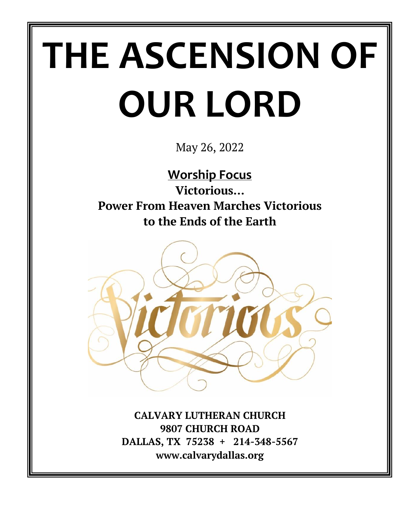# **THE ASCENSION OF OUR LORD**

May 26, 2022

**Worship Focus Victorious… Power From Heaven Marches Victorious to the Ends of the Earth**



**CALVARY LUTHERAN CHURCH 9807 CHURCH ROAD DALLAS, TX 75238 + 214-348-5567 [www.calvarydallas.org](http://www.calvarydallas.org/)**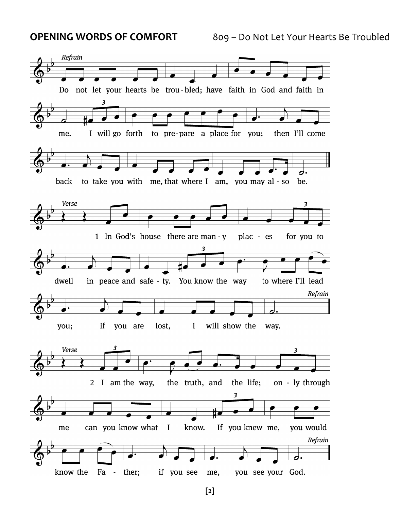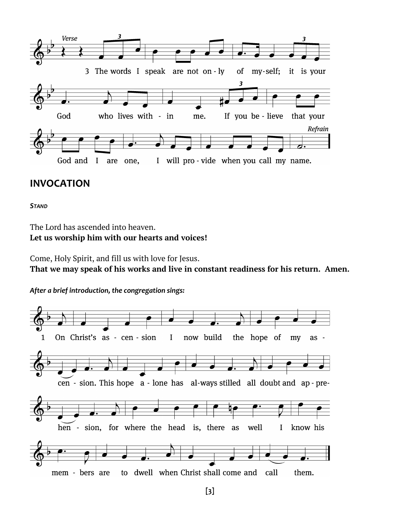

## **INVOCATION**

*STAND*

The Lord has ascended into heaven. **Let us worship him with our hearts and voices!**

Come, Holy Spirit, and fill us with love for Jesus.

**That we may speak of his works and live in constant readiness for his return. Amen.**

*After a brief introduction, the congregation sings:*

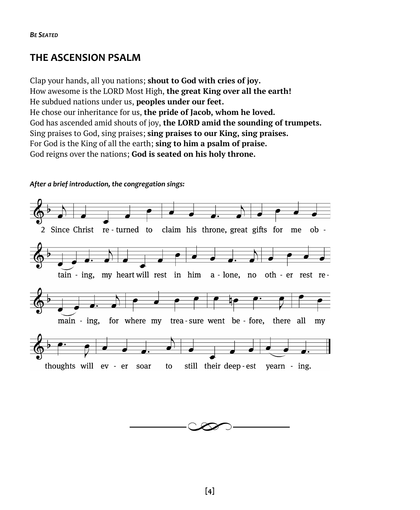# **THE ASCENSION PSALM**

Clap your hands, all you nations; **shout to God with cries of joy.** How awesome is the LORD Most High, **the great King over all the earth!** He subdued nations under us, **peoples under our feet.** He chose our inheritance for us, **the pride of Jacob, whom he loved.** God has ascended amid shouts of joy, **the LORD amid the sounding of trumpets.** Sing praises to God, sing praises; **sing praises to our King, sing praises.** For God is the King of all the earth; **sing to him a psalm of praise.** God reigns over the nations; **God is seated on his holy throne.**

#### *After a brief introduction, the congregation sings:*



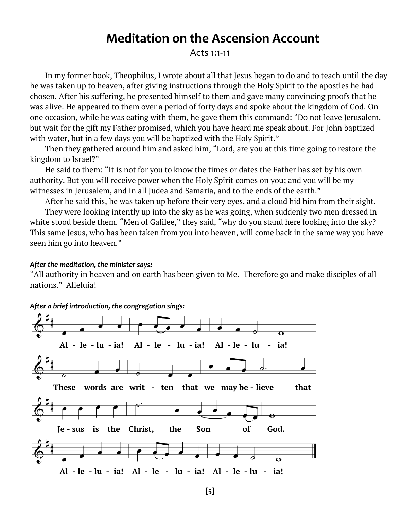# **Meditation on the Ascension Account**

Acts 1:1-11

In my former book, Theophilus, I wrote about all that Jesus began to do and to teach until the day he was taken up to heaven, after giving instructions through the Holy Spirit to the apostles he had chosen. After his suffering, he presented himself to them and gave many convincing proofs that he was alive. He appeared to them over a period of forty days and spoke about the kingdom of God. On one occasion, while he was eating with them, he gave them this command: "Do not leave Jerusalem, but wait for the gift my Father promised, which you have heard me speak about. For John baptized with water, but in a few days you will be baptized with the Holy Spirit."

Then they gathered around him and asked him, "Lord, are you at this time going to restore the kingdom to Israel?"

He said to them: "It is not for you to know the times or dates the Father has set by his own authority. But you will receive power when the Holy Spirit comes on you; and you will be my witnesses in Jerusalem, and in all Judea and Samaria, and to the ends of the earth."

After he said this, he was taken up before their very eyes, and a cloud hid him from their sight.

They were looking intently up into the sky as he was going, when suddenly two men dressed in white stood beside them. "Men of Galilee," they said, "why do you stand here looking into the sky? This same Jesus, who has been taken from you into heaven, will come back in the same way you have seen him go into heaven."

*After the meditation, the minister says:*

"All authority in heaven and on earth has been given to Me. Therefore go and make disciples of all nations." Alleluia!



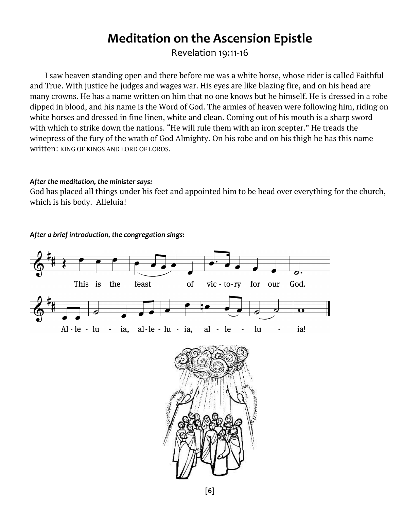# **Meditation on the Ascension Epistle**

Revelation 19:11-16

I saw heaven standing open and there before me was a white horse, whose rider is called Faithful and True. With justice he judges and wages war. His eyes are like blazing fire, and on his head are many crowns. He has a name written on him that no one knows but he himself. He is dressed in a robe dipped in blood, and his name is the Word of God. The armies of heaven were following him, riding on white horses and dressed in fine linen, white and clean. Coming out of his mouth is a sharp sword with which to strike down the nations. "He will rule them with an iron scepter." He treads the winepress of the fury of the wrath of God Almighty. On his robe and on his thigh he has this name written: KING OF KINGS AND LORD OF LORDS.

#### *After the meditation, the minister says:*

God has placed all things under his feet and appointed him to be head over everything for the church, which is his body. Alleluia!



*After a brief introduction, the congregation sings:*

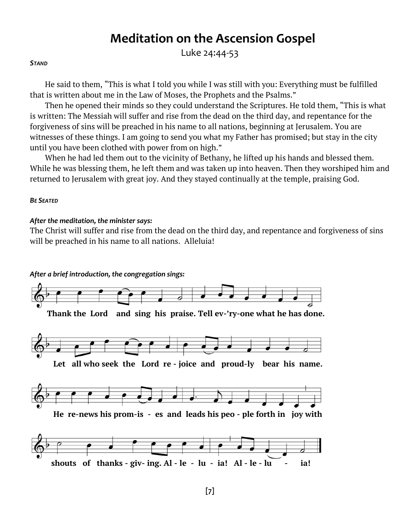# **Meditation on the Ascension Gospel**

Luke 24:44-53

#### *STAND*

He said to them, "This is what I told you while I was still with you: Everything must be fulfilled that is written about me in the Law of Moses, the Prophets and the Psalms."

Then he opened their minds so they could understand the Scriptures. He told them, "This is what is written: The Messiah will suffer and rise from the dead on the third day, and repentance for the forgiveness of sins will be preached in his name to all nations, beginning at Jerusalem. You are witnesses of these things. I am going to send you what my Father has promised; but stay in the city until you have been clothed with power from on high."

When he had led them out to the vicinity of Bethany, he lifted up his hands and blessed them. While he was blessing them, he left them and was taken up into heaven. Then they worshiped him and returned to Jerusalem with great joy. And they stayed continually at the temple, praising God.

#### *BE SEATED*

#### *After the meditation, the minister says:*

The Christ will suffer and rise from the dead on the third day, and repentance and forgiveness of sins will be preached in his name to all nations. Alleluia!

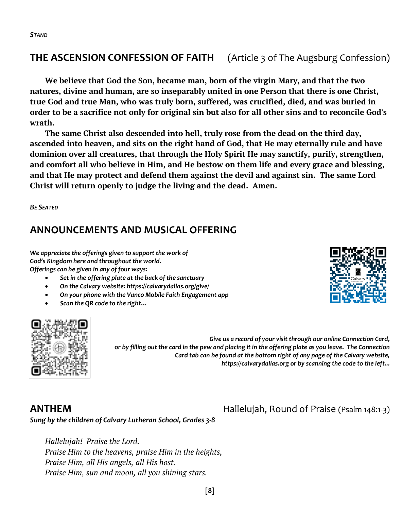*STAND*

# **THE ASCENSION CONFESSION OF FAITH** (Article 3 of The Augsburg Confession)

**We believe that God the Son, became man, born of the virgin Mary, and that the two natures, divine and human, are so inseparably united in one Person that there is one Christ, true God and true Man, who was truly born, suffered, was crucified, died, and was buried in order to be a sacrifice not only for original sin but also for all other sins and to reconcile God's wrath.**

**The same Christ also descended into hell, truly rose from the dead on the third day, ascended into heaven, and sits on the right hand of God, that He may eternally rule and have dominion over all creatures, that through the Holy Spirit He may sanctify, purify, strengthen, and comfort all who believe in Him, and He bestow on them life and every grace and blessing, and that He may protect and defend them against the devil and against sin. The same Lord Christ will return openly to judge the living and the dead. Amen.**

*BE SEATED*

## **ANNOUNCEMENTS AND MUSICAL OFFERING**

*We appreciate the offerings given to support the work of God's Kingdom here and throughout the world. Offerings can be given in any of four ways:*

- *Set in the offering plate at the back of the sanctuary*
- *On the Calvary website: https://calvarydallas.org/give/*
- *On your phone with the Vanco Mobile Faith Engagement app*
- *Scan the QR code to the right…*





*Give us a record of your visit through our online Connection Card, or by filling out the card in the pew and placing it in the offering plate as you leave. The Connection Card tab can be found at the bottom right of any page of the Calvary website, https://calvarydallas.org or by scanning the code to the left...*

*Sung by the children of Calvary Lutheran School, Grades 3-8*

*Hallelujah! Praise the Lord. Praise Him to the heavens, praise Him in the heights, Praise Him, all His angels, all His host.* 

*Praise Him, sun and moon, all you shining stars.*

**ANTHEM Hallelujah, Round of Praise (Psalm 148:1-3)**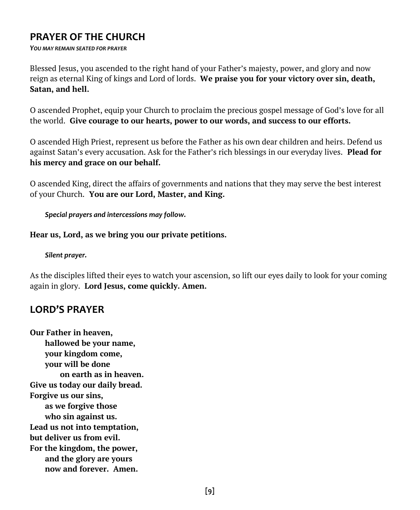# **PRAYER OF THE CHURCH**

#### *YOU MAY REMAIN SEATED FOR PRAYER*

Blessed Jesus, you ascended to the right hand of your Father's majesty, power, and glory and now reign as eternal King of kings and Lord of lords. **We praise you for your victory over sin, death, Satan, and hell.**

O ascended Prophet, equip your Church to proclaim the precious gospel message of God's love for all the world. **Give courage to our hearts, power to our words, and success to our efforts.**

O ascended High Priest, represent us before the Father as his own dear children and heirs. Defend us against Satan's every accusation. Ask for the Father's rich blessings in our everyday lives. **Plead for his mercy and grace on our behalf.**

O ascended King, direct the affairs of governments and nations that they may serve the best interest of your Church. **You are our Lord, Master, and King.**

*Special prayers and intercessions may follow.*

**Hear us, Lord, as we bring you our private petitions.**

*Silent prayer.*

As the disciples lifted their eyes to watch your ascension, so lift our eyes daily to look for your coming again in glory. **Lord Jesus, come quickly. Amen.**

#### **LORD'S PRAYER**

**Our Father in heaven, hallowed be your name, your kingdom come, your will be done on earth as in heaven. Give us today our daily bread. Forgive us our sins, as we forgive those who sin against us. Lead us not into temptation, but deliver us from evil. For the kingdom, the power, and the glory are yours now and forever. Amen.**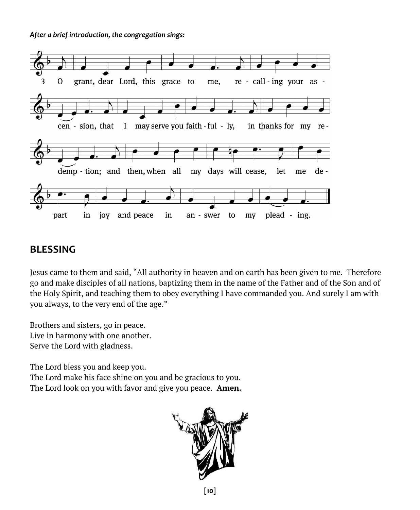*After a brief introduction, the congregation sings:*



## **BLESSING**

Jesus came to them and said, "All authority in heaven and on earth has been given to me. Therefore go and make disciples of all nations, baptizing them in the name of the Father and of the Son and of the Holy Spirit, and teaching them to obey everything I have commanded you. And surely I am with you always, to the very end of the age."

Brothers and sisters, go in peace. Live in harmony with one another. Serve the Lord with gladness.

The Lord bless you and keep you.

The Lord make his face shine on you and be gracious to you. The Lord look on you with favor and give you peace. **Amen.**

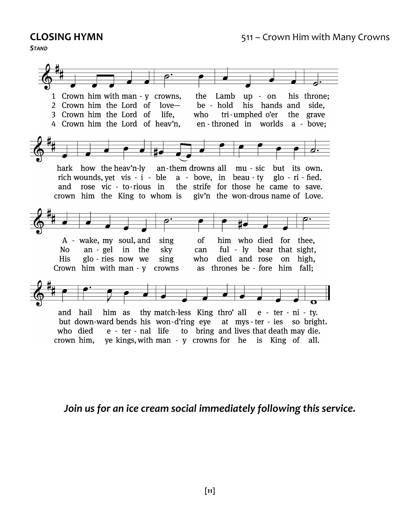*STAND*



crown him. ye kings, with man - y crowns for he is King of all.

#### *Join us for an ice cream social immediately following this service.*